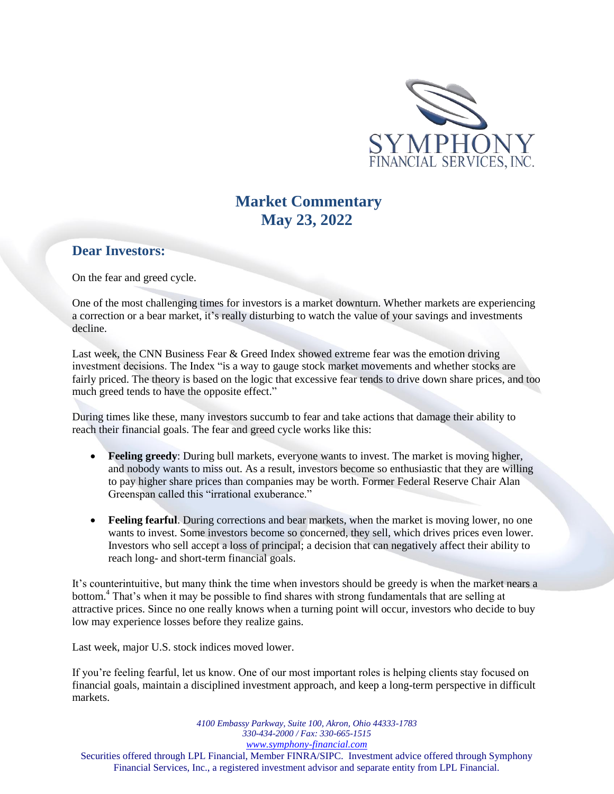

# **Market Commentary May 23, 2022**

### **Dear Investors:**

On the fear and greed cycle.

One of the most challenging times for investors is a market downturn. Whether markets are experiencing a correction or a bear market, it's really disturbing to watch the value of your savings and investments decline.

Last week, the CNN Business Fear & Greed Index showed extreme fear was the emotion driving investment decisions. The Index "is a way to gauge stock market movements and whether stocks are fairly priced. The theory is based on the logic that excessive fear tends to drive down share prices, and too much greed tends to have the opposite effect."

During times like these, many investors succumb to fear and take actions that damage their ability to reach their financial goals. The fear and greed cycle works like this:

- **Feeling greedy**: During bull markets, everyone wants to invest. The market is moving higher, and nobody wants to miss out. As a result, investors become so enthusiastic that they are willing to pay higher share prices than companies may be worth. Former Federal Reserve Chair Alan Greenspan called this "irrational exuberance."
- **Feeling fearful.** During corrections and bear markets, when the market is moving lower, no one wants to invest. Some investors become so concerned, they sell, which drives prices even lower. Investors who sell accept a loss of principal; a decision that can negatively affect their ability to reach long- and short-term financial goals.

It's counterintuitive, but many think the time when investors should be greedy is when the market nears a bottom.<sup>4</sup> That's when it may be possible to find shares with strong fundamentals that are selling at attractive prices. Since no one really knows when a turning point will occur, investors who decide to buy low may experience losses before they realize gains.

Last week, major U.S. stock indices moved lower.

If you're feeling fearful, let us know. One of our most important roles is helping clients stay focused on financial goals, maintain a disciplined investment approach, and keep a long-term perspective in difficult markets.

*4100 Embassy Parkway, Suite 100, Akron, Ohio 44333-1783 330-434-2000 / Fax: 330-665-1515 www.symphony-financial.com* Securities offered through LPL Financial, Member FINRA/SIPC. Investment advice offered through Symphony Financial Services, Inc., a registered investment advisor and separate entity from LPL Financial.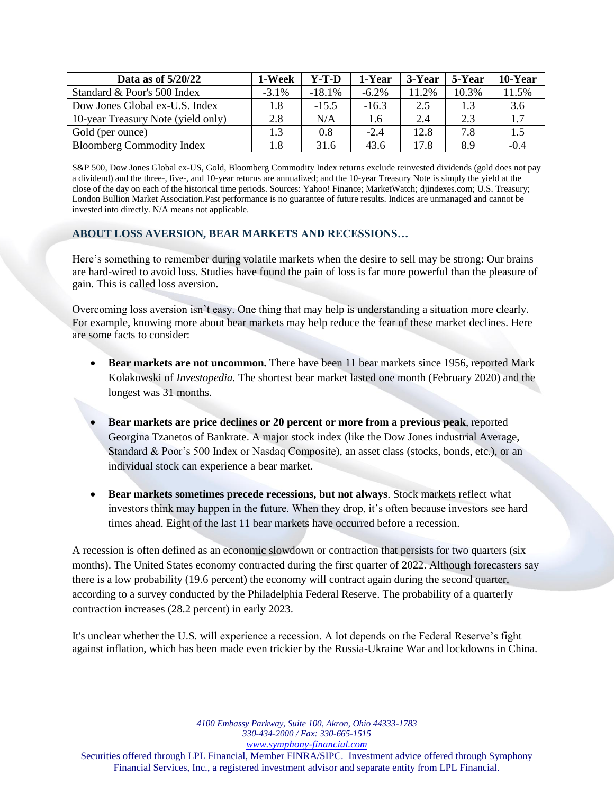| Data as of $5/20/22$               | 1-Week   | Y-T-D     | 1-Year   | 3-Year | 5-Year | 10-Year |
|------------------------------------|----------|-----------|----------|--------|--------|---------|
| Standard & Poor's 500 Index        | $-3.1\%$ | $-18.1\%$ | $-6.2\%$ | 11.2%  | 10.3%  | 11.5%   |
| Dow Jones Global ex-U.S. Index     | 1.8      | $-15.5$   | $-16.3$  | 2.5    | 1.3    | 3.6     |
| 10-year Treasury Note (yield only) | 2.8      | N/A       | 1.6      | 2.4    | 2.3    | 1.7     |
| Gold (per ounce)                   | 1.3      | 0.8       | $-2.4$   | 12.8   | 7.8    | 1.5     |
| <b>Bloomberg Commodity Index</b>   | 1.8      | 31.6      | 43.6     | 17.8   | 8.9    | $-0.4$  |

S&P 500, Dow Jones Global ex-US, Gold, Bloomberg Commodity Index returns exclude reinvested dividends (gold does not pay a dividend) and the three-, five-, and 10-year returns are annualized; and the 10-year Treasury Note is simply the yield at the close of the day on each of the historical time periods. Sources: Yahoo! Finance; MarketWatch; djindexes.com; U.S. Treasury; London Bullion Market Association.Past performance is no guarantee of future results. Indices are unmanaged and cannot be invested into directly. N/A means not applicable.

### **ABOUT LOSS AVERSION, BEAR MARKETS AND RECESSIONS…**

Here's something to remember during volatile markets when the desire to sell may be strong: Our brains are hard-wired to avoid loss. Studies have found the pain of loss is far more powerful than the pleasure of gain. This is called loss aversion.

Overcoming loss aversion isn't easy. One thing that may help is understanding a situation more clearly. For example, knowing more about bear markets may help reduce the fear of these market declines. Here are some facts to consider:

- **Bear markets are not uncommon.** There have been 11 bear markets since 1956, reported Mark Kolakowski of *Investopedia.* The shortest bear market lasted one month (February 2020) and the longest was 31 months.
- **Bear markets are price declines or 20 percent or more from a previous peak**, reported Georgina Tzanetos of Bankrate. A major stock index (like the Dow Jones industrial Average, Standard & Poor's 500 Index or Nasdaq Composite), an asset class (stocks, bonds, etc.), or an individual stock can experience a bear market.
- **Bear markets sometimes precede recessions, but not always**. Stock markets reflect what investors think may happen in the future. When they drop, it's often because investors see hard times ahead. Eight of the last 11 bear markets have occurred before a recession.

A recession is often defined as an economic slowdown or contraction that persists for two quarters (six months). The United States economy contracted during the first quarter of 2022. Although forecasters say there is a low probability (19.6 percent) the economy will contract again during the second quarter, according to a survey conducted by the Philadelphia Federal Reserve. The probability of a quarterly contraction increases (28.2 percent) in early 2023.

It's unclear whether the U.S. will experience a recession. A lot depends on the Federal Reserve's fight against inflation, which has been made even trickier by the Russia-Ukraine War and lockdowns in China.

*4100 Embassy Parkway, Suite 100, Akron, Ohio 44333-1783 330-434-2000 / Fax: 330-665-1515 www.symphony-financial.com* Securities offered through LPL Financial, Member FINRA/SIPC. Investment advice offered through Symphony Financial Services, Inc., a registered investment advisor and separate entity from LPL Financial.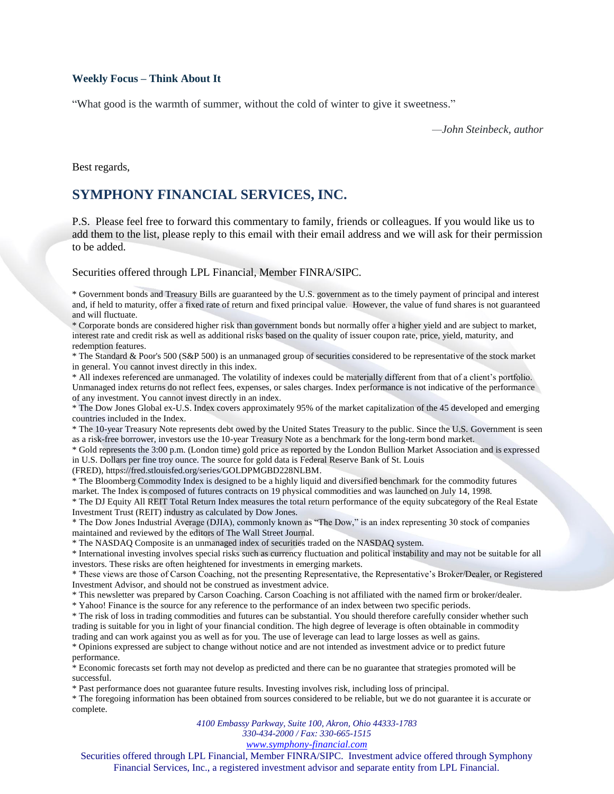#### **Weekly Focus – Think About It**

"What good is the warmth of summer, without the cold of winter to give it sweetness."

*—John Steinbeck, author*

Best regards,

## **SYMPHONY FINANCIAL SERVICES, INC.**

P.S. Please feel free to forward this commentary to family, friends or colleagues. If you would like us to add them to the list, please reply to this email with their email address and we will ask for their permission to be added.

#### Securities offered through LPL Financial, Member FINRA/SIPC.

\* Government bonds and Treasury Bills are guaranteed by the U.S. government as to the timely payment of principal and interest and, if held to maturity, offer a fixed rate of return and fixed principal value. However, the value of fund shares is not guaranteed and will fluctuate.

\* Corporate bonds are considered higher risk than government bonds but normally offer a higher yield and are subject to market, interest rate and credit risk as well as additional risks based on the quality of issuer coupon rate, price, yield, maturity, and redemption features.

\* The Standard & Poor's 500 (S&P 500) is an unmanaged group of securities considered to be representative of the stock market in general. You cannot invest directly in this index.

\* All indexes referenced are unmanaged. The volatility of indexes could be materially different from that of a client's portfolio. Unmanaged index returns do not reflect fees, expenses, or sales charges. Index performance is not indicative of the performance of any investment. You cannot invest directly in an index.

\* The Dow Jones Global ex-U.S. Index covers approximately 95% of the market capitalization of the 45 developed and emerging countries included in the Index.

\* The 10-year Treasury Note represents debt owed by the United States Treasury to the public. Since the U.S. Government is seen as a risk-free borrower, investors use the 10-year Treasury Note as a benchmark for the long-term bond market.

\* Gold represents the 3:00 p.m. (London time) gold price as reported by the London Bullion Market Association and is expressed in U.S. Dollars per fine troy ounce. The source for gold data is Federal Reserve Bank of St. Louis

(FRED), https://fred.stlouisfed.org/series/GOLDPMGBD228NLBM.

\* The Bloomberg Commodity Index is designed to be a highly liquid and diversified benchmark for the commodity futures market. The Index is composed of futures contracts on 19 physical commodities and was launched on July 14, 1998.

\* The DJ Equity All REIT Total Return Index measures the total return performance of the equity subcategory of the Real Estate Investment Trust (REIT) industry as calculated by Dow Jones.

\* The Dow Jones Industrial Average (DJIA), commonly known as "The Dow," is an index representing 30 stock of companies maintained and reviewed by the editors of The Wall Street Journal.

\* The NASDAQ Composite is an unmanaged index of securities traded on the NASDAQ system.

\* International investing involves special risks such as currency fluctuation and political instability and may not be suitable for all investors. These risks are often heightened for investments in emerging markets.

\* These views are those of Carson Coaching, not the presenting Representative, the Representative's Broker/Dealer, or Registered Investment Advisor, and should not be construed as investment advice.

\* This newsletter was prepared by Carson Coaching. Carson Coaching is not affiliated with the named firm or broker/dealer.

\* Yahoo! Finance is the source for any reference to the performance of an index between two specific periods.

\* The risk of loss in trading commodities and futures can be substantial. You should therefore carefully consider whether such trading is suitable for you in light of your financial condition. The high degree of leverage is often obtainable in commodity trading and can work against you as well as for you. The use of leverage can lead to large losses as well as gains.

\* Opinions expressed are subject to change without notice and are not intended as investment advice or to predict future performance.

\* Economic forecasts set forth may not develop as predicted and there can be no guarantee that strategies promoted will be successful.

\* Past performance does not guarantee future results. Investing involves risk, including loss of principal.

\* The foregoing information has been obtained from sources considered to be reliable, but we do not guarantee it is accurate or complete.

*4100 Embassy Parkway, Suite 100, Akron, Ohio 44333-1783*

*330-434-2000 / Fax: 330-665-1515*

*www.symphony-financial.com*

Securities offered through LPL Financial, Member FINRA/SIPC. Investment advice offered through Symphony Financial Services, Inc., a registered investment advisor and separate entity from LPL Financial.